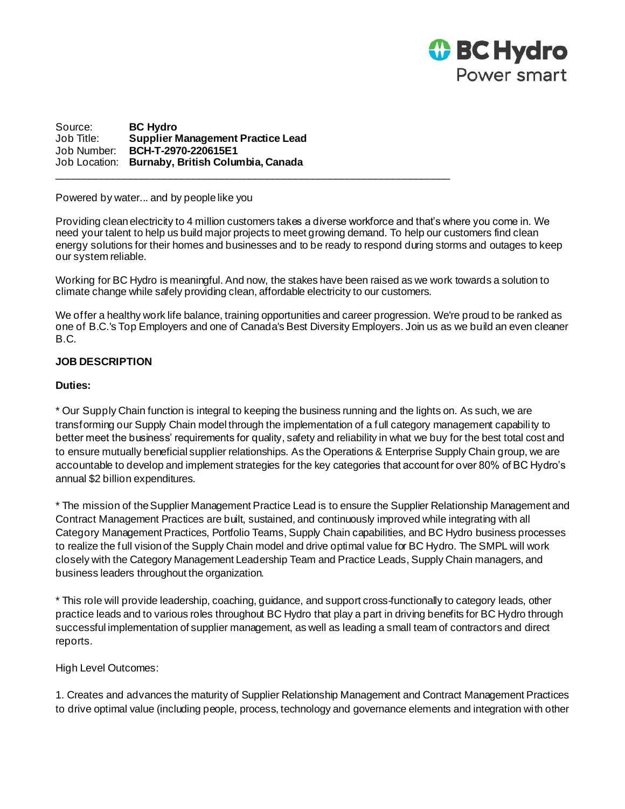

Source: **BC Hydro** Job Title: **Supplier Management Practice Lead** Job Number: **BCH-T-2970-220615E1** Job Location: **Burnaby, British Columbia, Canada**  $\Box$  . The contribution of the contribution of the contribution of the contribution of the contribution of the contribution of the contribution of the contribution of the contribution of the contribution of the contributi

Powered by water... and by people like you

Providing clean electricity to 4 million customers takes a diverse workforce and that's where you come in. We need your talent to help us build major projects to meet growing demand. To help our customers find clean energy solutions for their homes and businesses and to be ready to respond during storms and outages to keep our system reliable.

Working for BC Hydro is meaningful. And now, the stakes have been raised as we work towards a solution to climate change while safely providing clean, affordable electricity to our customers.

We offer a healthy work life balance, training opportunities and career progression. We're proud to be ranked as one of B.C.'s Top Employers and one of Canada's Best Diversity Employers. Join us as we build an even cleaner B.C.

# **JOB DESCRIPTION**

## **Duties:**

\* Our Supply Chain function is integral to keeping the business running and the lights on. As such, we are transforming our Supply Chain model through the implementation of a full category management capability to better meet the business' requirements for quality, safety and reliability in what we buy for the best total cost and to ensure mutually beneficial supplier relationships. As the Operations & Enterprise Supply Chain group, we are accountable to develop and implement strategies for the key categories that account for over 80% of BC Hydro's annual \$2 billion expenditures.

\* The mission of the Supplier Management Practice Lead is to ensure the Supplier Relationship Management and Contract Management Practices are built, sustained, and continuously improved while integrating with all Category Management Practices, Portfolio Teams, Supply Chain capabilities, and BC Hydro business processes to realize the full vision of the Supply Chain model and drive optimal value for BC Hydro. The SMPL will work closely with the Category Management Leadership Team and Practice Leads, Supply Chain managers, and business leaders throughout the organization.

\* This role will provide leadership, coaching, guidance, and support cross-functionally to category leads, other practice leads and to various roles throughout BC Hydro that play a part in driving benefits for BC Hydro through successful implementation of supplier management, as well as leading a small team of contractors and direct reports.

High Level Outcomes:

1. Creates and advances the maturity of Supplier Relationship Management and Contract Management Practices to drive optimal value (including people, process, technology and governance elements and integration with other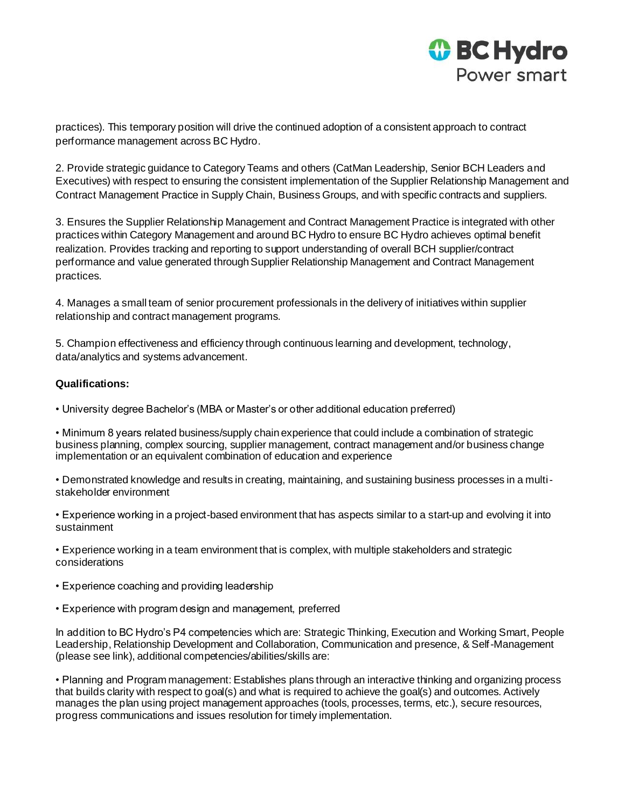

practices). This temporary position will drive the continued adoption of a consistent approach to contract performance management across BC Hydro.

2. Provide strategic guidance to Category Teams and others (CatMan Leadership, Senior BCH Leaders and Executives) with respect to ensuring the consistent implementation of the Supplier Relationship Management and Contract Management Practice in Supply Chain, Business Groups, and with specific contracts and suppliers.

3. Ensures the Supplier Relationship Management and Contract Management Practice is integrated with other practices within Category Management and around BC Hydro to ensure BC Hydro achieves optimal benefit realization. Provides tracking and reporting to support understanding of overall BCH supplier/contract performance and value generated through Supplier Relationship Management and Contract Management practices.

4. Manages a small team of senior procurement professionals in the delivery of initiatives within supplier relationship and contract management programs.

5. Champion effectiveness and efficiency through continuous learning and development, technology, data/analytics and systems advancement.

### **Qualifications:**

• University degree Bachelor's (MBA or Master's or other additional education preferred)

• Minimum 8 years related business/supply chain experience that could include a combination of strategic business planning, complex sourcing, supplier management, contract management and/or business change implementation or an equivalent combination of education and experience

• Demonstrated knowledge and results in creating, maintaining, and sustaining business processes in a multistakeholder environment

• Experience working in a project-based environment that has aspects similar to a start-up and evolving it into sustainment

• Experience working in a team environment that is complex, with multiple stakeholders and strategic considerations

- Experience coaching and providing leadership
- Experience with program design and management, preferred

In addition to BC Hydro's P4 competencies which are: Strategic Thinking, Execution and Working Smart, People Leadership, Relationship Development and Collaboration, Communication and presence, & Self-Management (please see link), additional competencies/abilities/skills are:

• Planning and Program management: Establishes plans through an interactive thinking and organizing process that builds clarity with respect to goal(s) and what is required to achieve the goal(s) and outcomes. Actively manages the plan using project management approaches (tools, processes, terms, etc.), secure resources, progress communications and issues resolution for timely implementation.